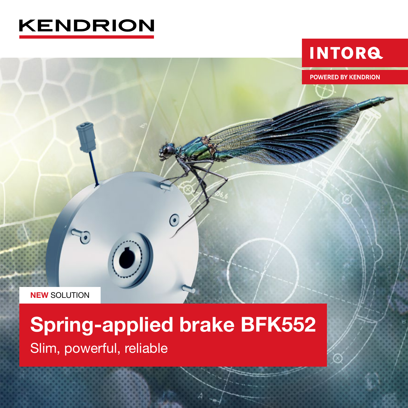

# **INTORG**

**POWERED BY KENDRION** 

**NEW SOLUTION** 

70

# Spring-applied brake BFK552 Slim, powerful, reliable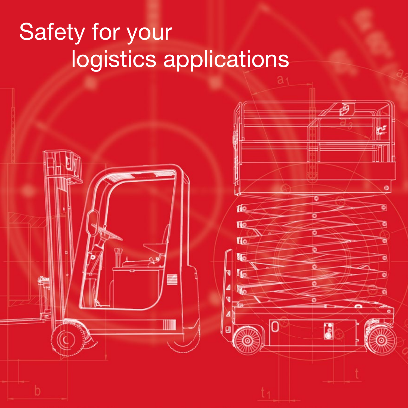# Safety for your logistics applications

**Ifo Vic VIo**   $\ddot{\mathbf{e}}$ 

E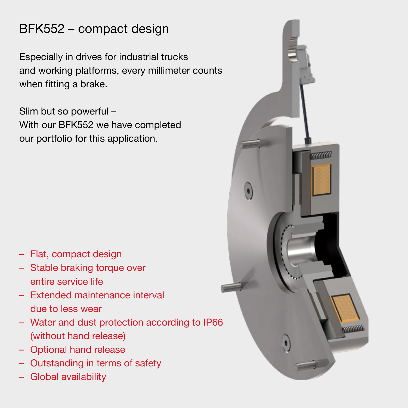# BFK552 – compact design

Especially in drives for industrial trucks and working platforms, every millimeter counts when fitting a brake.

Slim but so powerful – With our BFK552 we have completed our portfolio for this application.

- Flat, compact design
- Stable braking torque over entire service life
- Extended maintenance interval due to less wear
- Water and dust protection according to IP66 (without hand release)
- Optional hand release
- Outstanding in terms of safety
- Global availability

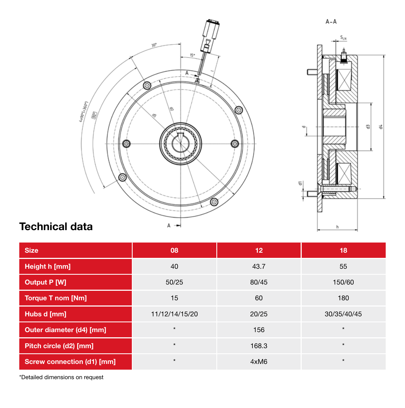



## Technical data

| <b>Size</b>                | 08             | 12    | 18          |
|----------------------------|----------------|-------|-------------|
| Height h [mm]              | 40             | 43.7  | 55          |
| <b>Output P [W]</b>        | 50/25          | 80/45 | 150/60      |
| <b>Torque T nom [Nm]</b>   | 15             | 60    | 180         |
| Hubs d [mm]                | 11/12/14/15/20 | 20/25 | 30/35/40/45 |
| Outer diameter (d4) [mm]   | $\star$        | 156   | $\star$     |
| Pitch circle (d2) [mm]     | $\star$        | 168.3 | $\star$     |
| Screw connection (d1) [mm] | $\star$        | 4xM6  | $\star$     |

\*Detailed dimensions on request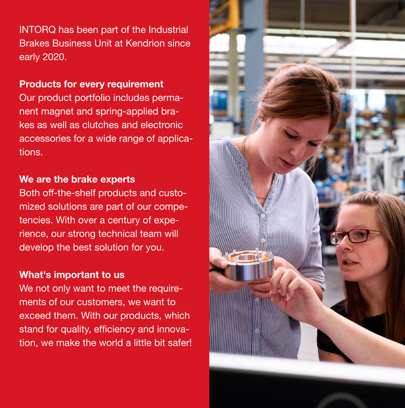INTORQ has been part of the Industrial Brakes Business Unit at Kendrion since early 2020.

#### Products for every requirement

Our product portfolio includes permanent magnet and spring-applied brakes as well as clutches and electronic accessories for a wide range of applications.

#### We are the brake experts

Both off-the-shelf products and customized solutions are part of our competencies. With over a century of experience, our strong technical team will develop the best solution for you.

#### What's important to us

We not only want to meet the requirements of our customers, we want to exceed them. With our products, which stand for quality, efficiency and innovation, we make the world a little bit safer!